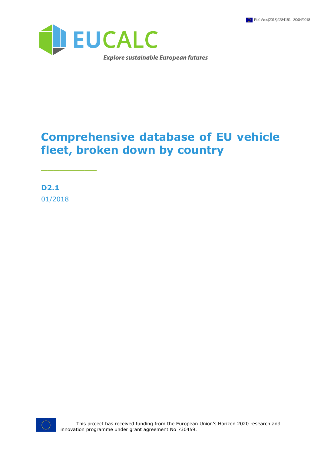

### **Comprehensive database of EU vehicle fleet, broken down by country**

**D2.1** 01/2018

\_\_\_\_\_\_\_\_\_

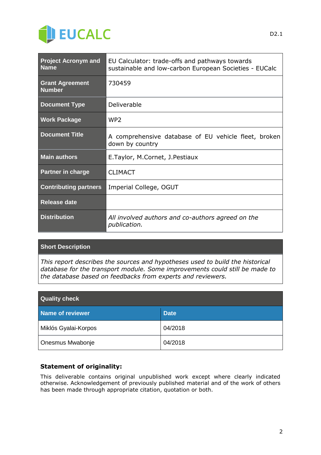

| <b>Project Acronym and</b><br><b>Name</b> | EU Calculator: trade-offs and pathways towards<br>sustainable and low-carbon European Societies - EUCalc |
|-------------------------------------------|----------------------------------------------------------------------------------------------------------|
| <b>Grant Agreement</b><br><b>Number</b>   | 730459                                                                                                   |
| <b>Document Type</b>                      | Deliverable                                                                                              |
| <b>Work Package</b>                       | WP <sub>2</sub>                                                                                          |
| <b>Document Title</b>                     | A comprehensive database of EU vehicle fleet, broken<br>down by country                                  |
| <b>Main authors</b>                       | E.Taylor, M.Cornet, J.Pestiaux                                                                           |
| Partner in charge                         | <b>CLIMACT</b>                                                                                           |
| <b>Contributing partners</b>              | Imperial College, OGUT                                                                                   |
| <b>Release date</b>                       |                                                                                                          |
| <b>Distribution</b>                       | All involved authors and co-authors agreed on the<br>publication.                                        |

#### **Short Description**

*This report describes the sources and hypotheses used to build the historical database for the transport module. Some improvements could still be made to the database based on feedbacks from experts and reviewers.*

| <b>Quality check</b> |             |  |  |  |  |  |
|----------------------|-------------|--|--|--|--|--|
| Name of reviewer     | <b>Date</b> |  |  |  |  |  |
| Miklós Gyalai-Korpos | 04/2018     |  |  |  |  |  |
| Onesmus Mwabonje     | 04/2018     |  |  |  |  |  |

#### **Statement of originality:**

This deliverable contains original unpublished work except where clearly indicated otherwise. Acknowledgement of previously published material and of the work of others has been made through appropriate citation, quotation or both.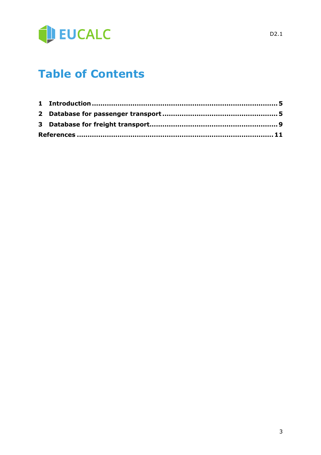

### **Table of Contents**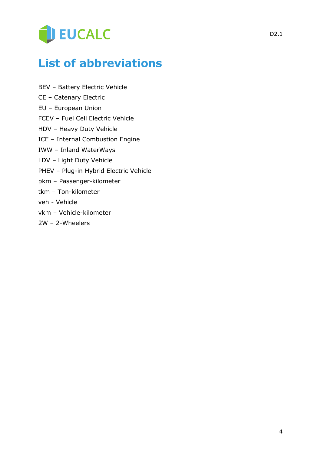# **DEUCALC**

## **List of abbreviations**

- BEV Battery Electric Vehicle
- CE Catenary Electric
- EU European Union
- FCEV Fuel Cell Electric Vehicle
- HDV Heavy Duty Vehicle
- ICE Internal Combustion Engine
- IWW Inland WaterWays
- LDV Light Duty Vehicle
- PHEV Plug-in Hybrid Electric Vehicle
- pkm Passenger-kilometer
- tkm Ton-kilometer
- veh Vehicle
- vkm Vehicle-kilometer
- 2W 2-Wheelers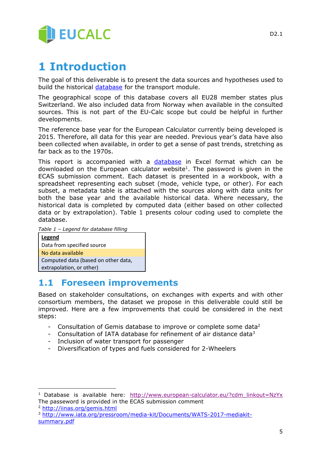

#### **1 Introduction**

The goal of this deliverable is to present the data sources and hypotheses used to build the historical [database](http://www.european-calculator.eu/?cdm_linkout=NzYx) for the transport module.

The geographical scope of this database covers all EU28 member states plus Switzerland. We also included data from Norway when available in the consulted sources. This is not part of the EU-Calc scope but could be helpful in further developments.

The reference base year for the European Calculator currently being developed is 2015. Therefore, all data for this year are needed. Previous year's data have also been collected when available, in order to get a sense of past trends, stretching as far back as to the 1970s.

This report is accompanied with a [database](http://www.european-calculator.eu/?cdm_linkout=NzYx) in Excel format which can be downloaded on the European calculator website<sup>1</sup>. The password is given in the ECAS submission comment. Each dataset is presented in a workbook, with a spreadsheet representing each subset (mode, vehicle type, or other). For each subset, a metadata table is attached with the sources along with data units for both the base year and the available historical data. Where necessary, the historical data is completed by computed data (either based on other collected data or by extrapolation). Table 1 presents colour coding used to complete the database.

*Table 1 – Legend for database filling*

**Legend** Data from specified source No data available Computed data (based on other data, extrapolation, or other)

#### **1.1 Foreseen improvements**

Based on stakeholder consultations, on exchanges with experts and with other consortium members, the dataset we propose in this deliverable could still be improved. Here are a few improvements that could be considered in the next steps:

- Consultation of Gemis database to improve or complete some data<sup>2</sup>
- Consultation of IATA database for refinement of air distance data $3$
- Inclusion of water transport for passenger
- Diversification of types and fuels considered for 2-Wheelers

-

<sup>&</sup>lt;sup>1</sup> Database is available here: [http://www.european-calculator.eu/?cdm\\_linkout=NzYx](http://www.european-calculator.eu/?cdm_linkout=NzYx) The passeword is provided in the ECAS submission comment

<sup>2</sup> <http://iinas.org/gemis.html>

<sup>3</sup> [http://www.iata.org/pressroom/media-kit/Documents/WATS-2017-mediakit](http://www.iata.org/pressroom/media-kit/Documents/WATS-2017-mediakit-summary.pdf)[summary.pdf](http://www.iata.org/pressroom/media-kit/Documents/WATS-2017-mediakit-summary.pdf)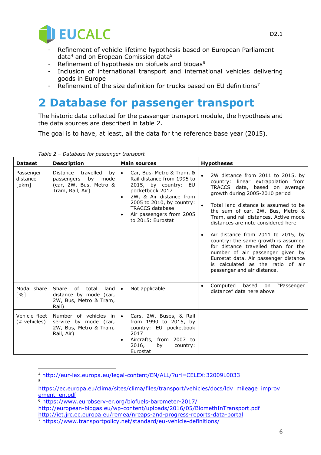

- Refinement of vehicle lifetime hypothesis based on European Parliament data $4$  and on Eropean Comission data $5$
- Refinement of hypothesis on biofuels and biogas<sup>6</sup>
- Inclusion of international transport and international vehicles delivering goods in Europe
- Refinement of the size definition for trucks based on EU definitions<sup>7</sup>

#### **2 Database for passenger transport**

The historic data collected for the passenger transport module, the hypothesis and the data sources are described in table 2.

The goal is to have, at least, all the data for the reference base year (2015).

| <b>Dataset</b>                    | <b>Description</b>                                                                              | <b>Main sources</b>                                                                                                                                                                                                                                             | <b>Hypotheses</b>                                                                                                                                                                                                                                                                                                                                                                                                                                                                                                                                                          |  |
|-----------------------------------|-------------------------------------------------------------------------------------------------|-----------------------------------------------------------------------------------------------------------------------------------------------------------------------------------------------------------------------------------------------------------------|----------------------------------------------------------------------------------------------------------------------------------------------------------------------------------------------------------------------------------------------------------------------------------------------------------------------------------------------------------------------------------------------------------------------------------------------------------------------------------------------------------------------------------------------------------------------------|--|
| Passenger<br>distance<br>[pkm]    | Distance travelled<br>by<br>by mode<br>passengers<br>(car, 2W, Bus, Metro &<br>Tram, Rail, Air) | Car, Bus, Metro & Tram, &<br>$\bullet$<br>Rail distance from 1995 to<br>2015, by country: EU<br>pocketbook 2017<br>2W, & Air distance from<br>2005 to 2010, by country:<br><b>TRACCS database</b><br>Air passengers from 2005<br>$\bullet$<br>to 2015: Eurostat | 2W distance from 2011 to 2015, by<br>country: linear extrapolation from<br>TRACCS data, based on average<br>growth during 2005-2010 period<br>Total land distance is assumed to be<br>the sum of car, 2W, Bus, Metro &<br>Tram, and rail distances. Active mode<br>distances are note considered here<br>Air distance from 2011 to 2015, by<br>country: the same growth is assumed<br>for distance travelled than for the<br>number of air passenger given by<br>Eurostat data. Air passenger distance<br>is calculated as the ratio of air<br>passenger and air distance. |  |
| Modal share<br>$\lceil \% \rceil$ | Share<br>of<br>total<br>land<br>distance by mode (car,<br>2W, Bus, Metro & Tram,<br>Rail)       | Not applicable<br>$\bullet$                                                                                                                                                                                                                                     | on "Passenger<br>Computed based<br>$\bullet$<br>distance" data here above                                                                                                                                                                                                                                                                                                                                                                                                                                                                                                  |  |
| Vehicle fleet<br>(# vehicles)     | Number of vehicles in<br>service by mode (car,<br>2W, Bus, Metro & Tram,<br>Rail, Air)          | Cars, 2W, Buses, & Rail<br>$\bullet$<br>from 1990 to 2015, by<br>country: EU pocketbook<br>2017<br>Aircrafts, from 2007 to<br>$\bullet$<br>2016,<br>by<br>country:<br>Eurostat                                                                                  |                                                                                                                                                                                                                                                                                                                                                                                                                                                                                                                                                                            |  |

*Table 2 – Database for passenger transport*

l <sup>4</sup> <http://eur-lex.europa.eu/legal-content/EN/ALL/?uri=CELEX:32009L0033> 5

[https://ec.europa.eu/clima/sites/clima/files/transport/vehicles/docs/ldv\\_mileage\\_improv](https://ec.europa.eu/clima/sites/clima/files/transport/vehicles/docs/ldv_mileage_improvement_en.pdf) [ement\\_en.pdf](https://ec.europa.eu/clima/sites/clima/files/transport/vehicles/docs/ldv_mileage_improvement_en.pdf)

<sup>6</sup> <https://www.eurobserv-er.org/biofuels-barometer-2017/>

<http://european-biogas.eu/wp-content/uploads/2016/05/BiomethInTransport.pdf> <http://iet.jrc.ec.europa.eu/remea/nreaps-and-progress-reports-data-portal>

<sup>7</sup> <https://www.transportpolicy.net/standard/eu-vehicle-definitions/>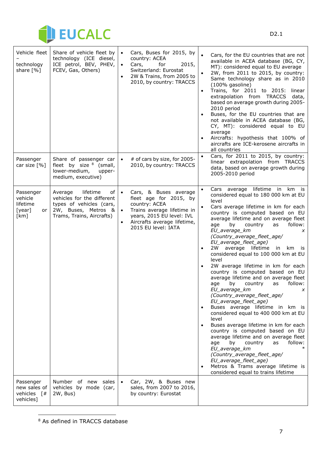

| Vehicle fleet<br>technology<br>share [%]                             | Share of vehicle fleet by<br>technology (ICE diesel,<br>ICE petrol, BEV, PHEV,<br>FCEV, Gas, Others)                                    | $\bullet$ | Cars, Buses for 2015, by<br>country: ACEA<br>Cars,<br>for<br>2015,<br>Switzerland: Eurostat<br>2W & Trains, from 2005 to<br>2010, by country: TRACCS                              | $\bullet$ | Cars, for the EU countries that are not<br>available in ACEA database (BG, CY,<br>MT): considered equal to EU average<br>2W, from 2011 to 2015, by country:<br>Same technology share as in 2010<br>(100% gasoline)<br>Trains, for 2011 to 2015: linear<br>extrapolation from TRACCS data,<br>based on average growth during 2005-<br>2010 period<br>Buses, for the EU countries that are<br>not available in ACEA database (BG,<br>CY, MT): considered equal to EU<br>average<br>Aircrafts: hypothesis that 100% of<br>aircrafts are ICE-kerosene aircrafts in<br>all countries                                                                                                                                                                                                                                                                                                                                                                                                                                                                                 |
|----------------------------------------------------------------------|-----------------------------------------------------------------------------------------------------------------------------------------|-----------|-----------------------------------------------------------------------------------------------------------------------------------------------------------------------------------|-----------|-----------------------------------------------------------------------------------------------------------------------------------------------------------------------------------------------------------------------------------------------------------------------------------------------------------------------------------------------------------------------------------------------------------------------------------------------------------------------------------------------------------------------------------------------------------------------------------------------------------------------------------------------------------------------------------------------------------------------------------------------------------------------------------------------------------------------------------------------------------------------------------------------------------------------------------------------------------------------------------------------------------------------------------------------------------------|
| Passenger<br>car size [%]                                            | Share of passenger car<br>fleet by size $8$ (small,<br>lower-medium,<br>upper-<br>medium, executive)                                    |           | # of cars by size, for 2005-<br>2010, by country: TRACCS                                                                                                                          |           | Cars, for 2011 to 2015, by country:<br>linear extrapolation from TRACCS<br>data, based on average growth during<br>2005-2010 period                                                                                                                                                                                                                                                                                                                                                                                                                                                                                                                                                                                                                                                                                                                                                                                                                                                                                                                             |
| Passenger<br>vehicle<br>lifetime<br>[year]<br>or<br>[km]             | lifetime<br>of<br>Average<br>vehicles for the different<br>types of vehicles (cars,<br>2W, Buses, Metros &<br>Trams, Trains, Aircrafts) | $\bullet$ | Cars, & Buses average<br>fleet age for 2015, by<br>country: ACEA<br>Trains average lifetime in<br>years, 2015 EU level: IVL<br>Aircrafts average lifetime,<br>2015 EU level: IATA |           | Cars average lifetime in km is<br>considered equal to 180 000 km at EU<br>level<br>Cars average lifetime in km for each<br>country is computed based on EU<br>average lifetime and on average fleet<br>follow:<br>by<br>country<br>age<br>as<br>EU_average_km<br>X<br>(Country_average_fleet_age/<br>EU_average_fleet_age)<br>2W average lifetime in<br>km is<br>considered equal to 100 000 km at EU<br>level<br>2W average lifetime in km for each<br>country is computed based on EU<br>average lifetime and on average fleet<br>by<br>country<br>follow:<br>age<br>as<br>EU_average_km<br>X<br>(Country_average_fleet_age/<br>EU_average_fleet_age)<br>Buses average lifetime in km is<br>considered equal to 400 000 km at EU<br>level<br>Buses average lifetime in km for each<br>country is computed based on EU<br>average lifetime and on average fleet<br>follow:<br>age<br>by<br>country<br>as<br>EU_average_km<br>(Country_average_fleet_age/<br>EU_average_fleet_age)<br>Metros & Trams average lifetime is<br>considered equal to trains lifetime |
| Passenger<br>new sales of<br>vehicles $\lceil # \rceil$<br>vehicles] | Number of new sales<br>vehicles by mode (car,<br>2W, Bus)                                                                               | $\bullet$ | Car, 2W, & Buses new<br>sales, from 2007 to 2016,<br>by country: Eurostat                                                                                                         |           |                                                                                                                                                                                                                                                                                                                                                                                                                                                                                                                                                                                                                                                                                                                                                                                                                                                                                                                                                                                                                                                                 |

<sup>&</sup>lt;sup>8</sup> As defined in TRACCS database

 $\overline{a}$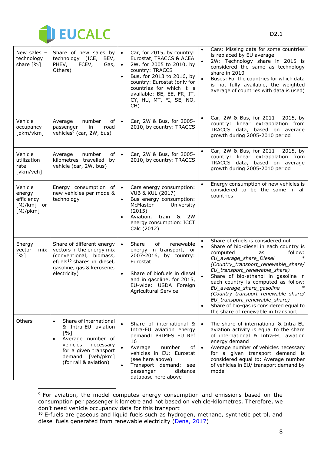

-

| New sales -<br>technology<br>share [%]                       | Share of new sales by<br>technology (ICE,<br>BEV,<br>PHEV,<br>FCEV,<br>Gas,<br>Others)                                                                                                             | $\bullet$ | Car, for 2015, by country:<br>Eurostat, TRACCS & ACEA<br>2W, for 2005 to 2010, by<br>country: TRACCS<br>Bus, for 2013 to 2016, by<br>country: Eurostat (only for<br>countries for which it is<br>available: BE, EE, FR, IT,<br>CY, HU, MT, FI, SE, NO,<br>CH) | $\bullet$<br>$\bullet$<br>$\bullet$ | Cars: Missing data for some countries<br>is replaced by EU average<br>2W: Technology share in 2015 is<br>considered the same as technology<br>share in 2010<br>Buses: For the countries for which data<br>is not fully available, the weighted<br>average of countries with data is used)                                                                                                                                                                                         |
|--------------------------------------------------------------|----------------------------------------------------------------------------------------------------------------------------------------------------------------------------------------------------|-----------|---------------------------------------------------------------------------------------------------------------------------------------------------------------------------------------------------------------------------------------------------------------|-------------------------------------|-----------------------------------------------------------------------------------------------------------------------------------------------------------------------------------------------------------------------------------------------------------------------------------------------------------------------------------------------------------------------------------------------------------------------------------------------------------------------------------|
| Vehicle<br>occupancy<br>[pkm/vkm]                            | Average<br>number<br>οf<br>passenger<br>in<br>road<br>vehicles <sup>9</sup> (car, 2W, bus)                                                                                                         | $\bullet$ | Car, 2W & Bus, for 2005-<br>2010, by country: TRACCS                                                                                                                                                                                                          | $\bullet$                           | Car, 2W & Bus, for 2011 - 2015, by<br>country: linear extrapolation from<br>TRACCS data, based on average<br>growth during 2005-2010 period                                                                                                                                                                                                                                                                                                                                       |
| Vehicle<br>utilization<br>rate<br>[vkm/veh]                  | Average<br>number<br>of<br>kilometres travelled<br>by<br>vehicle (car, 2W, bus)                                                                                                                    | $\bullet$ | Car, 2W & Bus, for 2005-<br>2010, by country: TRACCS                                                                                                                                                                                                          |                                     | Car, 2W & Bus, for 2011 - 2015, by<br>country: linear extrapolation from<br>TRACCS data, based on average<br>growth during 2005-2010 period                                                                                                                                                                                                                                                                                                                                       |
| Vehicle<br>energy<br>efficiency<br>[MJ/km]<br>or<br>[MJ/pkm] | Energy consumption of<br>new vehicles per mode &<br>technology                                                                                                                                     | $\bullet$ | Cars energy consumption:<br><b>VUB &amp; KUL (2017)</b><br>Bus energy consumption:<br>McMaster<br>University<br>(2015)<br>Aviation, train<br><u>&amp;</u><br>2W<br>energy consumption: ICCT<br>Calc (2012)                                                    |                                     | Energy consumption of new vehicles is<br>considered to be the same in all<br>countries                                                                                                                                                                                                                                                                                                                                                                                            |
| Energy<br>vector<br>mix<br>[%]                               | Share of different energy<br>vectors in the energy mix<br>(conventional, biomass,<br>efuels <sup>10</sup> shares in diesel,<br>gasoline, gas & kerosene,<br>electricity)                           | $\bullet$ | Share<br>renewable<br>of<br>energy in transport, for<br>2007-2016, by country:<br>Eurostat<br>Share of biofuels in diesel<br>and in gasoline, for 2015,<br>EU-wide: USDA Foreign<br>Agricultural Service                                                      | $\bullet$<br>$\bullet$<br>$\bullet$ | Share of efuels is considered null<br>Share of bio-diesel in each country is<br>computed<br>follow:<br>as<br>EU_average_share_Diesel<br>(Country_transport_renewable_share/<br>EU_transport_renewable_share)<br>Share of bio-ethanol in gasoline in<br>each country is computed as follow:<br>EU_average_share_gasoline<br>(Country_transport_renewable_share/<br>EU transport renewable share)<br>Share of bio-gas is considered equal to<br>the share of renewable in transport |
| Others                                                       | Share of international<br>$\bullet$<br>& Intra-EU aviation<br>[%]<br>Average number of<br>$\bullet$<br>vehicles<br>necessary<br>for a given transport<br>demand [veh/pkm]<br>(for rail & aviation) |           | Share of international &<br>Intra-EU aviation energy<br>demand: PRIMES EU Ref<br>16<br>Average<br>number<br>of<br>vehicles in EU: Eurostat<br>(see here above)<br>Transport demand: see<br>distance<br>passenger<br>database here above                       | $\bullet$<br>$\bullet$              | The share of international & Intra-EU<br>aviation activity is equal to the share<br>of international & Intra-EU aviation<br>energy demand<br>Average number of vehicles necessary<br>for a given transport demand is<br>considered equal to: Average number<br>of vehicles in EU/ transport demand by<br>mode                                                                                                                                                                     |

<sup>&</sup>lt;sup>9</sup> For aviation, the model computes energy consumption and emissions based on the consumption per passenger kilometre and not based on vehicle-kilometres. Therefore, we don't need vehicle occupancy data for this transport

<sup>&</sup>lt;sup>10</sup> E-fuels are gaseous and liquid fuels such as hydrogen, methane, synthetic petrol, and diesel fuels generated from renewable electricity [\(Dena, 2017\)](https://www.vda.de/dam/vda/publications/2017/E-Fuels-Study/E-Fuels%20Study.pdf)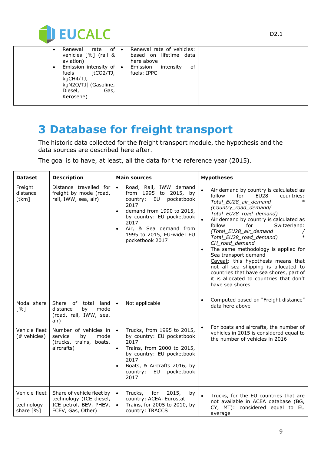

|  | rate of •<br>Renewal                                                                                                       | Renewal rate of vehicles:               |
|--|----------------------------------------------------------------------------------------------------------------------------|-----------------------------------------|
|  | vehicles [%] (rail &<br>aviation)                                                                                          | based on lifetime data<br>here above    |
|  | Emission intensity of $\cdot$<br>fuels<br>[tCO2/TJ, 1<br>kgCH4/TJ,<br>kgN2O/TJ] (Gasoline,<br>Diesel,<br>Gas,<br>Kerosene) | Emission intensity<br>οf<br>fuels: IPPC |

## **3 Database for freight transport**

The historic data collected for the freight transport module, the hypothesis and the data sources are described here after.

The goal is to have, at least, all the data for the reference year (2015).

| <b>Dataset</b>                           | <b>Description</b>                                                                                  | <b>Main sources</b>                                                                                                                                                                                                                                                        | <b>Hypotheses</b>                                                                                                                                                                                                                                                                                                                                                                                                                                                                                                                                                                                     |
|------------------------------------------|-----------------------------------------------------------------------------------------------------|----------------------------------------------------------------------------------------------------------------------------------------------------------------------------------------------------------------------------------------------------------------------------|-------------------------------------------------------------------------------------------------------------------------------------------------------------------------------------------------------------------------------------------------------------------------------------------------------------------------------------------------------------------------------------------------------------------------------------------------------------------------------------------------------------------------------------------------------------------------------------------------------|
| Freight<br>distance<br>[tkm]             | Distance travelled for<br>freight by mode (road,<br>rail, IWW, sea, air)                            | Road, Rail, IWW demand<br>$\bullet$<br>from 1995 to 2015, by<br>pocketbook<br>country:<br>EU<br>2017<br>demand from 1990 to 2015,<br>$\bullet$<br>by country: EU pocketbook<br>2017<br>Air, & Sea demand from<br>$\bullet$<br>1995 to 2015, EU-wide: EU<br>pocketbook 2017 | Air demand by country is calculated as<br>follow<br>for<br>EU <sub>28</sub><br>countries:<br>Total_EU28_air_demand<br>(Country_road_demand/<br>Total_EU28_road_demand)<br>Air demand by country is calculated as<br>for<br>Switzerland:<br>follow<br>(Total_EU28_air_demand<br>$\ast$<br>Total_EU28_road_demand)<br>CH_road_demand<br>The same methodology is applied for<br>$\bullet$<br>Sea transport demand<br>Caveat: this hypothesis means that<br>not all sea shipping is allocated to<br>countries that have sea shores, part of<br>it is allocated to countries that don't<br>have sea shores |
| Modal share<br>[%]                       | Share<br>of<br>total<br>land<br>distance<br>by<br>mode<br>(road, rail, IWW, sea,<br>air)            | Not applicable<br>$\bullet$                                                                                                                                                                                                                                                | Computed based on "Freight distance"<br>data here above                                                                                                                                                                                                                                                                                                                                                                                                                                                                                                                                               |
| Vehicle fleet<br>(# vehicles)            | Number of vehicles in<br>service<br>by<br>mode<br>(trucks, trains,<br>boats,<br>aircrafts)          | Trucks, from 1995 to 2015,<br>$\bullet$<br>by country: EU pocketbook<br>2017<br>Trains, from 2000 to 2015,<br>$\bullet$<br>by country: EU pocketbook<br>2017<br>Boats, & Aircrafts 2016, by<br>$\bullet$<br>EU pocketbook<br>country:<br>2017                              | For boats and aircrafts, the number of<br>vehicles in 2015 is considered equal to<br>the number of vehicles in 2016                                                                                                                                                                                                                                                                                                                                                                                                                                                                                   |
| Vehicle fleet<br>technology<br>share [%] | Share of vehicle fleet by<br>technology (ICE diesel,<br>ICE petrol, BEV, PHEV,<br>FCEV, Gas, Other) | Trucks, for<br>2015,<br>by<br>$\bullet$<br>country: ACEA, Eurostat<br>Trains, for 2005 to 2010, by<br>$\bullet$<br>country: TRACCS                                                                                                                                         | Trucks, for the EU countries that are<br>not available in ACEA database (BG,<br>CY, MT): considered equal to EU<br>average                                                                                                                                                                                                                                                                                                                                                                                                                                                                            |

D2.1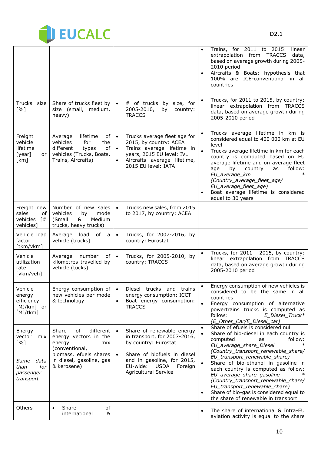

|                                                                                         |                                                                                                                                                           |                                                                                                                                                                                                                                        | Trains, for 2011 to 2015:<br>linear<br>$\bullet$<br>extrapolation from TRACCS<br>data,<br>based on average growth during 2005-<br>2010 period<br>Aircrafts & Boats: hypothesis that<br>$\bullet$<br>100% are ICE-conventional in all<br>countries                                                                                                                                                                                                                                                                        |
|-----------------------------------------------------------------------------------------|-----------------------------------------------------------------------------------------------------------------------------------------------------------|----------------------------------------------------------------------------------------------------------------------------------------------------------------------------------------------------------------------------------------|--------------------------------------------------------------------------------------------------------------------------------------------------------------------------------------------------------------------------------------------------------------------------------------------------------------------------------------------------------------------------------------------------------------------------------------------------------------------------------------------------------------------------|
| Trucks size<br>[%]                                                                      | Share of trucks fleet by<br>size (small, medium,<br>heavy)                                                                                                | # of trucks by size, for<br>$\bullet$<br>2005-2010,<br>country:<br>by<br><b>TRACCS</b>                                                                                                                                                 | Trucks, for 2011 to 2015, by country:<br>linear extrapolation from TRACCS<br>data, based on average growth during<br>2005-2010 period                                                                                                                                                                                                                                                                                                                                                                                    |
| Freight<br>vehicle<br>lifetime<br>[year]<br>or<br>[km]                                  | lifetime<br>of<br>Average<br>vehicles<br>for<br>the<br>different<br>of<br>types<br>vehicles (Trucks, Boats,<br>Trains, Aircrafts)                         | Trucks average fleet age for<br>$\bullet$<br>2015, by country: ACEA<br>Trains average lifetime in<br>$\bullet$<br>years, 2015 EU level: IVL<br>Aircrafts average lifetime,<br>$\bullet$<br>2015 EU level: IATA                         | Trucks average lifetime in km is<br>$\bullet$<br>considered equal to 400 000 km at EU<br>level<br>$\bullet$<br>Trucks average lifetime in km for each<br>country is computed based on EU<br>average lifetime and on average fleet<br>follow:<br>age<br>by<br>country<br>as<br>$\ast$<br>EU_average_km<br>(Country_average_fleet_age/<br>EU_average_fleet_age)<br>Boat average lifetime is considered<br>equal to 30 years                                                                                                |
| Freight new<br>sales<br>οf<br>vehicles<br>$\lceil # \rceil$<br>vehicles]                | Number of new sales<br>vehicles<br>mode<br>by<br>(Small<br>&<br>Medium<br>trucks, heavy trucks)                                                           | Trucks new sales, from 2015<br>$\bullet$<br>to 2017, by country: ACEA                                                                                                                                                                  |                                                                                                                                                                                                                                                                                                                                                                                                                                                                                                                          |
| Vehicle load<br>factor<br>[tkm/vkm]                                                     | load<br>of a<br>Average<br>vehicle (trucks)                                                                                                               | Trucks, for 2007-2016, by<br>$\bullet$<br>country: Eurostat                                                                                                                                                                            |                                                                                                                                                                                                                                                                                                                                                                                                                                                                                                                          |
| Vehicle<br>utilization<br>rate<br>[vkm/veh]                                             | number<br>of<br>Average<br>kilometres travelled by<br>vehicle (tucks)                                                                                     | Trucks, for 2005-2010, by<br>$\bullet$<br>country: TRACCS                                                                                                                                                                              | Trucks, for 2011 - 2015, by country:<br>$\bullet$<br>linear extrapolation from TRACCS<br>data, based on average growth during<br>2005-2010 period                                                                                                                                                                                                                                                                                                                                                                        |
| Vehicle<br>energy<br>efficiency<br>[MJ/km] or<br>[MJ/tkm]                               | Energy consumption of<br>new vehicles per mode<br>& technology                                                                                            | Diesel trucks and trains<br>$\bullet$<br>energy consumption: ICCT<br>Boat energy consumption:<br>$\bullet$<br><b>TRACCS</b>                                                                                                            | Energy consumption of new vehicles is<br>$\bullet$<br>considered to be the same in all<br>countries<br>Energy consumption of alternative<br>$\bullet$<br>powertrains trucks is computed as<br>follow:<br>E_Diesel_Truck*<br>(E_Other_Car/E_Diesel_car)                                                                                                                                                                                                                                                                   |
| Energy<br>vector<br>mix<br>[%]<br>Same<br>data<br>for<br>than<br>passenger<br>transport | Share<br>different<br>of<br>energy vectors in the<br>energy<br>mix<br>(conventional,<br>biomass, efuels shares<br>in diesel, gasoline, gas<br>& kerosene) | Share of renewable energy<br>$\bullet$<br>in transport, for 2007-2016,<br>by country: Eurostat<br>Share of biofuels in diesel<br>$\bullet$<br>and in gasoline, for 2015,<br>EU-wide:<br>Foreign<br>USDA<br><b>Agricultural Service</b> | Share of efuels is considered null<br>$\bullet$<br>Share of bio-diesel in each country is<br>$\bullet$<br>computed<br>follow:<br>as<br>EU_average_share_Diesel<br>(Country_transport_renewable_share/<br>EU_transport_renewable_share)<br>Share of bio-ethanol in gasoline in<br>each country is computed as follow:<br>EU_average_share_gasoline<br>(Country_transport_renewable_share/<br>EU_transport_renewable_share)<br>Share of bio-gas is considered equal to<br>$\bullet$<br>the share of renewable in transport |
| Others                                                                                  | Share<br>of<br>$\bullet$<br>international<br>&                                                                                                            |                                                                                                                                                                                                                                        | The share of international & Intra-EU<br>aviation activity is equal to the share                                                                                                                                                                                                                                                                                                                                                                                                                                         |